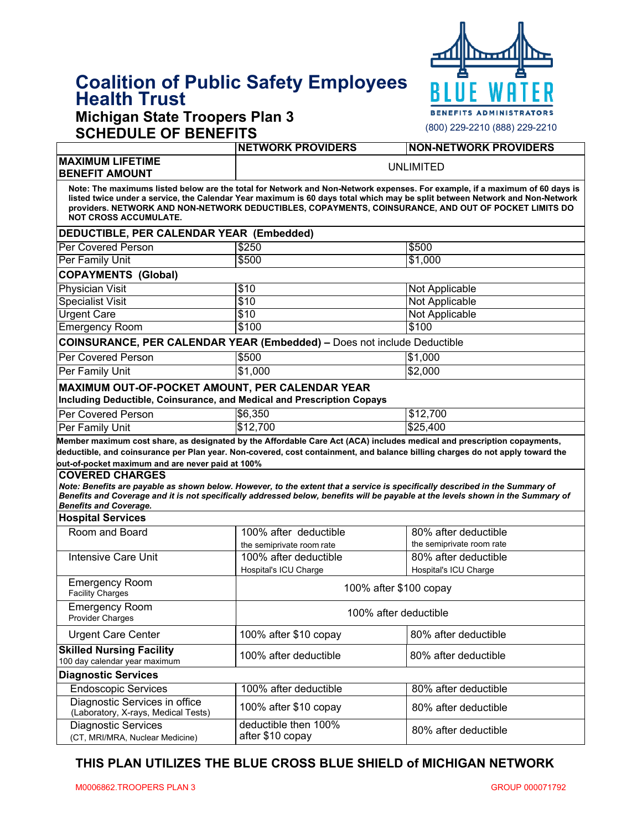# **Coalition of Public Safety Employees Health Trust**

# **Michigan State Troopers Plan 3 SCHEDULE OF BENEFITS**



| SCHEDULE OF BENEFIIS                                                                                                      |                                          |                                                                                                                                                                                                                                                                                                                                                                    |  |  |  |
|---------------------------------------------------------------------------------------------------------------------------|------------------------------------------|--------------------------------------------------------------------------------------------------------------------------------------------------------------------------------------------------------------------------------------------------------------------------------------------------------------------------------------------------------------------|--|--|--|
|                                                                                                                           | <b>NETWORK PROVIDERS</b>                 | <b>NON-NETWORK PROVIDERS</b>                                                                                                                                                                                                                                                                                                                                       |  |  |  |
| <b>MAXIMUM LIFETIME</b><br><b>BENEFIT AMOUNT</b>                                                                          | <b>UNLIMITED</b>                         |                                                                                                                                                                                                                                                                                                                                                                    |  |  |  |
| <b>NOT CROSS ACCUMULATE.</b>                                                                                              |                                          | Note: The maximums listed below are the total for Network and Non-Network expenses. For example, if a maximum of 60 days is<br>listed twice under a service, the Calendar Year maximum is 60 days total which may be split between Network and Non-Network<br>providers. NETWORK AND NON-NETWORK DEDUCTIBLES, COPAYMENTS, COINSURANCE, AND OUT OF POCKET LIMITS DO |  |  |  |
| DEDUCTIBLE, PER CALENDAR YEAR (Embedded)                                                                                  |                                          |                                                                                                                                                                                                                                                                                                                                                                    |  |  |  |
| Per Covered Person                                                                                                        | \$250                                    | \$500                                                                                                                                                                                                                                                                                                                                                              |  |  |  |
| <b>Per Family Unit</b>                                                                                                    | \$500                                    | \$1,000                                                                                                                                                                                                                                                                                                                                                            |  |  |  |
| <b>COPAYMENTS (Global)</b>                                                                                                |                                          |                                                                                                                                                                                                                                                                                                                                                                    |  |  |  |
| <b>Physician Visit</b>                                                                                                    | \$10                                     | Not Applicable                                                                                                                                                                                                                                                                                                                                                     |  |  |  |
| <b>Specialist Visit</b>                                                                                                   | \$10                                     | Not Applicable                                                                                                                                                                                                                                                                                                                                                     |  |  |  |
| <b>Urgent Care</b>                                                                                                        | \$10                                     | <b>Not Applicable</b>                                                                                                                                                                                                                                                                                                                                              |  |  |  |
| <b>Emergency Room</b>                                                                                                     | \$100                                    | \$100                                                                                                                                                                                                                                                                                                                                                              |  |  |  |
| <b>COINSURANCE, PER CALENDAR YEAR (Embedded) - Does not include Deductible</b>                                            |                                          |                                                                                                                                                                                                                                                                                                                                                                    |  |  |  |
| Per Covered Person                                                                                                        | \$500                                    | \$1,000                                                                                                                                                                                                                                                                                                                                                            |  |  |  |
| Per Family Unit                                                                                                           | \$1,000                                  | \$2,000                                                                                                                                                                                                                                                                                                                                                            |  |  |  |
| MAXIMUM OUT-OF-POCKET AMOUNT, PER CALENDAR YEAR<br>Including Deductible, Coinsurance, and Medical and Prescription Copays |                                          |                                                                                                                                                                                                                                                                                                                                                                    |  |  |  |
| Per Covered Person                                                                                                        | \$6,350                                  | \$12,700                                                                                                                                                                                                                                                                                                                                                           |  |  |  |
| Per Family Unit                                                                                                           | \$12,700                                 | \$25,400                                                                                                                                                                                                                                                                                                                                                           |  |  |  |
| out-of-pocket maximum and are never paid at 100%<br><b>COVERED CHARGES</b><br><b>Benefits and Coverage.</b>               |                                          | Note: Benefits are payable as shown below. However, to the extent that a service is specifically described in the Summary of<br>Benefits and Coverage and it is not specifically addressed below, benefits will be payable at the levels shown in the Summary of                                                                                                   |  |  |  |
| <b>Hospital Services</b>                                                                                                  |                                          |                                                                                                                                                                                                                                                                                                                                                                    |  |  |  |
| Room and Board                                                                                                            | 100% after deductible                    | 80% after deductible                                                                                                                                                                                                                                                                                                                                               |  |  |  |
|                                                                                                                           | the semiprivate room rate                | the semiprivate room rate                                                                                                                                                                                                                                                                                                                                          |  |  |  |
| <b>Intensive Care Unit</b>                                                                                                | 100% after deductible                    | 80% after deductible                                                                                                                                                                                                                                                                                                                                               |  |  |  |
|                                                                                                                           | Hospital's ICU Charge                    | Hospital's ICU Charge                                                                                                                                                                                                                                                                                                                                              |  |  |  |
| <b>Emergency Room</b><br><b>Facility Charges</b>                                                                          |                                          | 100% after \$100 copay                                                                                                                                                                                                                                                                                                                                             |  |  |  |
| Emergency Room<br><b>Provider Charges</b>                                                                                 | 100% after deductible                    |                                                                                                                                                                                                                                                                                                                                                                    |  |  |  |
| <b>Urgent Care Center</b>                                                                                                 | 100% after \$10 copay                    | 80% after deductible                                                                                                                                                                                                                                                                                                                                               |  |  |  |
| <b>Skilled Nursing Facility</b><br>100 day calendar year maximum                                                          | 100% after deductible                    | 80% after deductible                                                                                                                                                                                                                                                                                                                                               |  |  |  |
| <b>Diagnostic Services</b>                                                                                                |                                          |                                                                                                                                                                                                                                                                                                                                                                    |  |  |  |
| <b>Endoscopic Services</b>                                                                                                | 100% after deductible                    | 80% after deductible                                                                                                                                                                                                                                                                                                                                               |  |  |  |
| Diagnostic Services in office<br>(Laboratory, X-rays, Medical Tests)                                                      | 100% after \$10 copay                    | 80% after deductible                                                                                                                                                                                                                                                                                                                                               |  |  |  |
| <b>Diagnostic Services</b><br>(CT, MRI/MRA, Nuclear Medicine)                                                             | deductible then 100%<br>after \$10 copay | 80% after deductible                                                                                                                                                                                                                                                                                                                                               |  |  |  |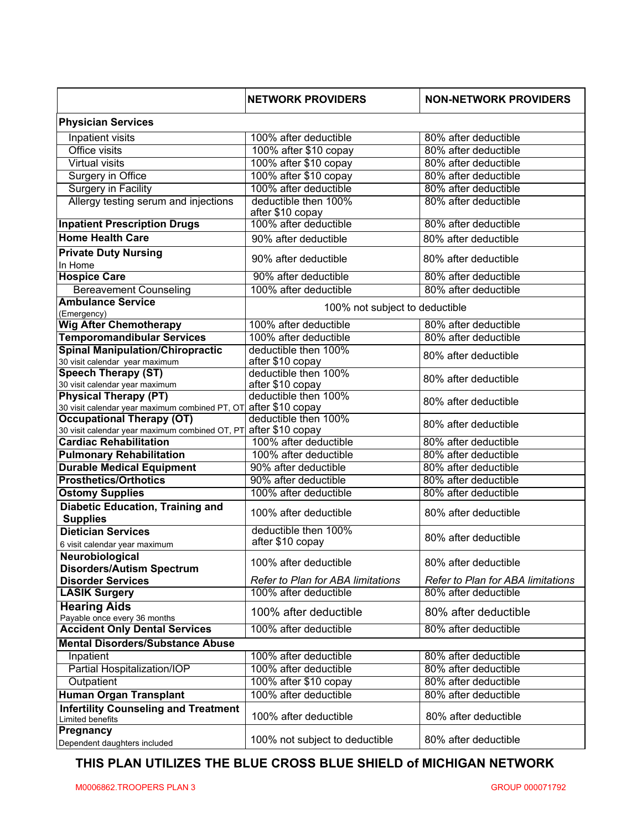|                                                                                  | <b>NETWORK PROVIDERS</b>                 | <b>NON-NETWORK PROVIDERS</b>             |  |  |  |
|----------------------------------------------------------------------------------|------------------------------------------|------------------------------------------|--|--|--|
| <b>Physician Services</b>                                                        |                                          |                                          |  |  |  |
| Inpatient visits                                                                 | 100% after deductible                    | 80% after deductible                     |  |  |  |
| Office visits                                                                    | 100% after \$10 copay                    | 80% after deductible                     |  |  |  |
| <b>Virtual visits</b>                                                            | 100% after \$10 copay                    | 80% after deductible                     |  |  |  |
| Surgery in Office                                                                | 100% after \$10 copay                    | 80% after deductible                     |  |  |  |
| <b>Surgery in Facility</b>                                                       | 100% after deductible                    | 80% after deductible                     |  |  |  |
| Allergy testing serum and injections                                             | deductible then 100%<br>after \$10 copay | 80% after deductible                     |  |  |  |
| <b>Inpatient Prescription Drugs</b>                                              | 100% after deductible                    | 80% after deductible                     |  |  |  |
| <b>Home Health Care</b>                                                          | 90% after deductible                     | 80% after deductible                     |  |  |  |
| <b>Private Duty Nursing</b><br>In Home                                           | 90% after deductible                     | 80% after deductible                     |  |  |  |
| <b>Hospice Care</b>                                                              | 90% after deductible                     | 80% after deductible                     |  |  |  |
| <b>Bereavement Counseling</b>                                                    | 100% after deductible                    | 80% after deductible                     |  |  |  |
| <b>Ambulance Service</b>                                                         |                                          |                                          |  |  |  |
| (Emergency)                                                                      | 100% not subject to deductible           |                                          |  |  |  |
| <b>Wig After Chemotherapy</b>                                                    | 100% after deductible                    | 80% after deductible                     |  |  |  |
| <b>Temporomandibular Services</b>                                                | 100% after deductible                    | 80% after deductible                     |  |  |  |
| <b>Spinal Manipulation/Chiropractic</b>                                          | deductible then 100%                     |                                          |  |  |  |
| 30 visit calendar year maximum                                                   | after \$10 copay                         | 80% after deductible                     |  |  |  |
| <b>Speech Therapy (ST)</b><br>30 visit calendar year maximum                     | deductible then 100%<br>after \$10 copay | 80% after deductible                     |  |  |  |
| <b>Physical Therapy (PT)</b><br>30 visit calendar year maximum combined PT, OT   | deductible then 100%<br>after \$10 copay | 80% after deductible                     |  |  |  |
| <b>Occupational Therapy (OT)</b>                                                 | deductible then 100%                     | 80% after deductible                     |  |  |  |
| 30 visit calendar year maximum combined OT, PT after \$10 $\operatorname{copay}$ |                                          |                                          |  |  |  |
| <b>Cardiac Rehabilitation</b>                                                    | 100% after deductible                    | 80% after deductible                     |  |  |  |
| <b>Pulmonary Rehabilitation</b>                                                  | 100% after deductible                    | 80% after deductible                     |  |  |  |
| <b>Durable Medical Equipment</b>                                                 | 90% after deductible                     | 80% after deductible                     |  |  |  |
| <b>Prosthetics/Orthotics</b>                                                     | 90% after deductible                     | 80% after deductible                     |  |  |  |
| <b>Ostomy Supplies</b>                                                           | 100% after deductible                    | 80% after deductible                     |  |  |  |
| <b>Diabetic Education, Training and</b><br><b>Supplies</b>                       | 100% after deductible                    | 80% after deductible                     |  |  |  |
| <b>Dietician Services</b>                                                        | deductible then 100%                     | 80% after deductible                     |  |  |  |
| 6 visit calendar year maximum                                                    | after \$10 copay                         |                                          |  |  |  |
| Neurobiological<br><b>Disorders/Autism Spectrum</b>                              | 100% after deductible                    | 80% after deductible                     |  |  |  |
| <b>Disorder Services</b>                                                         | Refer to Plan for ABA limitations        | <b>Refer to Plan for ABA limitations</b> |  |  |  |
| <b>LASIK Surgery</b>                                                             | 100% after deductible                    | 80% after deductible                     |  |  |  |
| <b>Hearing Aids</b><br>Payable once every 36 months                              | 100% after deductible                    | 80% after deductible                     |  |  |  |
| <b>Accident Only Dental Services</b>                                             | 100% after deductible                    | 80% after deductible                     |  |  |  |
| <b>Mental Disorders/Substance Abuse</b>                                          |                                          |                                          |  |  |  |
| Inpatient                                                                        | 100% after deductible                    | 80% after deductible                     |  |  |  |
| Partial Hospitalization/IOP                                                      | 100% after deductible                    | 80% after deductible                     |  |  |  |
| Outpatient                                                                       | 100% after \$10 copay                    | 80% after deductible                     |  |  |  |
| Human Organ Transplant                                                           | 100% after deductible                    | 80% after deductible                     |  |  |  |
| <b>Infertility Counseling and Treatment</b><br>Limited benefits                  | 100% after deductible                    | 80% after deductible                     |  |  |  |
| Pregnancy<br>Dependent daughters included                                        | 100% not subject to deductible           | 80% after deductible                     |  |  |  |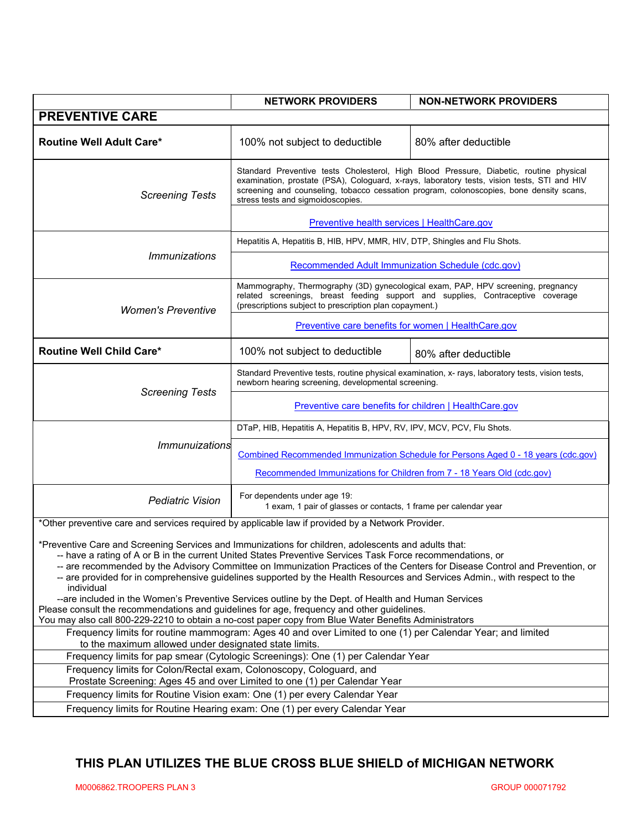|                                                                                                                                                                                                                                                                                                                                                                                                                                                                                                                                                                                                                                                                                                                                                                                                              | <b>NETWORK PROVIDERS</b>                                                                                                                                                                                                                                                                                              | <b>NON-NETWORK PROVIDERS</b> |  |  |
|--------------------------------------------------------------------------------------------------------------------------------------------------------------------------------------------------------------------------------------------------------------------------------------------------------------------------------------------------------------------------------------------------------------------------------------------------------------------------------------------------------------------------------------------------------------------------------------------------------------------------------------------------------------------------------------------------------------------------------------------------------------------------------------------------------------|-----------------------------------------------------------------------------------------------------------------------------------------------------------------------------------------------------------------------------------------------------------------------------------------------------------------------|------------------------------|--|--|
| <b>PREVENTIVE CARE</b>                                                                                                                                                                                                                                                                                                                                                                                                                                                                                                                                                                                                                                                                                                                                                                                       |                                                                                                                                                                                                                                                                                                                       |                              |  |  |
| <b>Routine Well Adult Care*</b>                                                                                                                                                                                                                                                                                                                                                                                                                                                                                                                                                                                                                                                                                                                                                                              | 100% not subject to deductible                                                                                                                                                                                                                                                                                        | 80% after deductible         |  |  |
| <b>Screening Tests</b>                                                                                                                                                                                                                                                                                                                                                                                                                                                                                                                                                                                                                                                                                                                                                                                       | Standard Preventive tests Cholesterol, High Blood Pressure, Diabetic, routine physical<br>examination, prostate (PSA), Cologuard, x-rays, laboratory tests, vision tests, STI and HIV<br>screening and counseling, tobacco cessation program, colonoscopies, bone density scans,<br>stress tests and sigmoidoscopies. |                              |  |  |
|                                                                                                                                                                                                                                                                                                                                                                                                                                                                                                                                                                                                                                                                                                                                                                                                              | Preventive health services   HealthCare.gov                                                                                                                                                                                                                                                                           |                              |  |  |
|                                                                                                                                                                                                                                                                                                                                                                                                                                                                                                                                                                                                                                                                                                                                                                                                              | Hepatitis A, Hepatitis B, HIB, HPV, MMR, HIV, DTP, Shingles and Flu Shots.                                                                                                                                                                                                                                            |                              |  |  |
| <i><b>Immunizations</b></i>                                                                                                                                                                                                                                                                                                                                                                                                                                                                                                                                                                                                                                                                                                                                                                                  | Recommended Adult Immunization Schedule (cdc.gov)                                                                                                                                                                                                                                                                     |                              |  |  |
| <b>Women's Preventive</b>                                                                                                                                                                                                                                                                                                                                                                                                                                                                                                                                                                                                                                                                                                                                                                                    | Mammography, Thermography (3D) gynecological exam, PAP, HPV screening, pregnancy<br>related screenings, breast feeding support and supplies, Contraceptive coverage<br>(prescriptions subject to prescription plan copayment.)                                                                                        |                              |  |  |
|                                                                                                                                                                                                                                                                                                                                                                                                                                                                                                                                                                                                                                                                                                                                                                                                              | Preventive care benefits for women   HealthCare.gov                                                                                                                                                                                                                                                                   |                              |  |  |
| <b>Routine Well Child Care*</b>                                                                                                                                                                                                                                                                                                                                                                                                                                                                                                                                                                                                                                                                                                                                                                              | 100% not subject to deductible                                                                                                                                                                                                                                                                                        | 80% after deductible         |  |  |
| <b>Screening Tests</b>                                                                                                                                                                                                                                                                                                                                                                                                                                                                                                                                                                                                                                                                                                                                                                                       | Standard Preventive tests, routine physical examination, x- rays, laboratory tests, vision tests,<br>newborn hearing screening, developmental screening.                                                                                                                                                              |                              |  |  |
|                                                                                                                                                                                                                                                                                                                                                                                                                                                                                                                                                                                                                                                                                                                                                                                                              | <b>Preventive care benefits for children   HealthCare.gov</b>                                                                                                                                                                                                                                                         |                              |  |  |
|                                                                                                                                                                                                                                                                                                                                                                                                                                                                                                                                                                                                                                                                                                                                                                                                              | DTaP, HIB, Hepatitis A, Hepatitis B, HPV, RV, IPV, MCV, PCV, Flu Shots.                                                                                                                                                                                                                                               |                              |  |  |
| <b>Immunuizations</b>                                                                                                                                                                                                                                                                                                                                                                                                                                                                                                                                                                                                                                                                                                                                                                                        | Combined Recommended Immunization Schedule for Persons Aged 0 - 18 years (cdc.gov)                                                                                                                                                                                                                                    |                              |  |  |
|                                                                                                                                                                                                                                                                                                                                                                                                                                                                                                                                                                                                                                                                                                                                                                                                              | Recommended Immunizations for Children from 7 - 18 Years Old (cdc.gov)                                                                                                                                                                                                                                                |                              |  |  |
| <b>Pediatric Vision</b>                                                                                                                                                                                                                                                                                                                                                                                                                                                                                                                                                                                                                                                                                                                                                                                      | For dependents under age 19:<br>1 exam, 1 pair of glasses or contacts, 1 frame per calendar year                                                                                                                                                                                                                      |                              |  |  |
| *Other preventive care and services required by applicable law if provided by a Network Provider.                                                                                                                                                                                                                                                                                                                                                                                                                                                                                                                                                                                                                                                                                                            |                                                                                                                                                                                                                                                                                                                       |                              |  |  |
| *Preventive Care and Screening Services and Immunizations for children, adolescents and adults that:<br>-- have a rating of A or B in the current United States Preventive Services Task Force recommendations, or<br>-- are recommended by the Advisory Committee on Immunization Practices of the Centers for Disease Control and Prevention, or<br>-- are provided for in comprehensive guidelines supported by the Health Resources and Services Admin., with respect to the<br>individual<br>--are included in the Women's Preventive Services outline by the Dept. of Health and Human Services<br>Please consult the recommendations and guidelines for age, frequency and other guidelines.<br>You may also call 800-229-2210 to obtain a no-cost paper copy from Blue Water Benefits Administrators |                                                                                                                                                                                                                                                                                                                       |                              |  |  |
| Frequency limits for routine mammogram: Ages 40 and over Limited to one (1) per Calendar Year; and limited                                                                                                                                                                                                                                                                                                                                                                                                                                                                                                                                                                                                                                                                                                   |                                                                                                                                                                                                                                                                                                                       |                              |  |  |
| to the maximum allowed under designated state limits.<br>Frequency limits for pap smear (Cytologic Screenings): One (1) per Calendar Year                                                                                                                                                                                                                                                                                                                                                                                                                                                                                                                                                                                                                                                                    |                                                                                                                                                                                                                                                                                                                       |                              |  |  |
| Frequency limits for Colon/Rectal exam, Colonoscopy, Cologuard, and                                                                                                                                                                                                                                                                                                                                                                                                                                                                                                                                                                                                                                                                                                                                          |                                                                                                                                                                                                                                                                                                                       |                              |  |  |
| Prostate Screening: Ages 45 and over Limited to one (1) per Calendar Year                                                                                                                                                                                                                                                                                                                                                                                                                                                                                                                                                                                                                                                                                                                                    |                                                                                                                                                                                                                                                                                                                       |                              |  |  |
| Frequency limits for Routine Vision exam: One (1) per every Calendar Year<br>Frequency limits for Routine Hearing exam: One (1) per every Calendar Year                                                                                                                                                                                                                                                                                                                                                                                                                                                                                                                                                                                                                                                      |                                                                                                                                                                                                                                                                                                                       |                              |  |  |
|                                                                                                                                                                                                                                                                                                                                                                                                                                                                                                                                                                                                                                                                                                                                                                                                              |                                                                                                                                                                                                                                                                                                                       |                              |  |  |